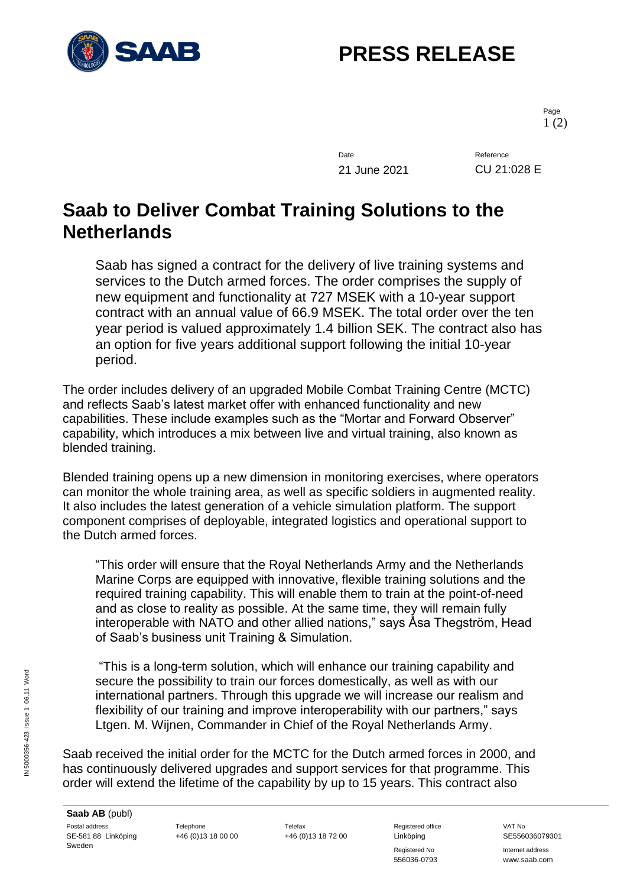

## **PRESS RELEASE**

Page 1 (2)

Date Reference 21 June 2021 CU 21:028 E

## **Saab to Deliver Combat Training Solutions to the Netherlands**

Saab has signed a contract for the delivery of live training systems and services to the Dutch armed forces. The order comprises the supply of new equipment and functionality at 727 MSEK with a 10-year support contract with an annual value of 66.9 MSEK. The total order over the ten year period is valued approximately 1.4 billion SEK. The contract also has an option for five years additional support following the initial 10-year period.

The order includes delivery of an upgraded Mobile Combat Training Centre (MCTC) and reflects Saab's latest market offer with enhanced functionality and new capabilities. These include examples such as the "Mortar and Forward Observer" capability, which introduces a mix between live and virtual training, also known as blended training.

Blended training opens up a new dimension in monitoring exercises, where operators can monitor the whole training area, as well as specific soldiers in augmented reality. It also includes the latest generation of a vehicle simulation platform. The support component comprises of deployable, integrated logistics and operational support to the Dutch armed forces.

"This order will ensure that the Royal Netherlands Army and the Netherlands Marine Corps are equipped with innovative, flexible training solutions and the required training capability. This will enable them to train at the point-of-need and as close to reality as possible. At the same time, they will remain fully interoperable with NATO and other allied nations," says Åsa Thegström, Head of Saab's business unit Training & Simulation.

"This is a long-term solution, which will enhance our training capability and secure the possibility to train our forces domestically, as well as with our international partners. Through this upgrade we will increase our realism and flexibility of our training and improve interoperability with our partners," says Ltgen. M. Wijnen, Commander in Chief of the Royal Netherlands Army.

Saab received the initial order for the MCTC for the Dutch armed forces in 2000, and has continuously delivered upgrades and support services for that programme. This order will extend the lifetime of the capability by up to 15 years. This contract also

+46 (0)13 18 00 00 +46 (0)13 18 72 00 Linköping SE556036079301

Registered No **Internet address** 556036-0793 www.saab.com